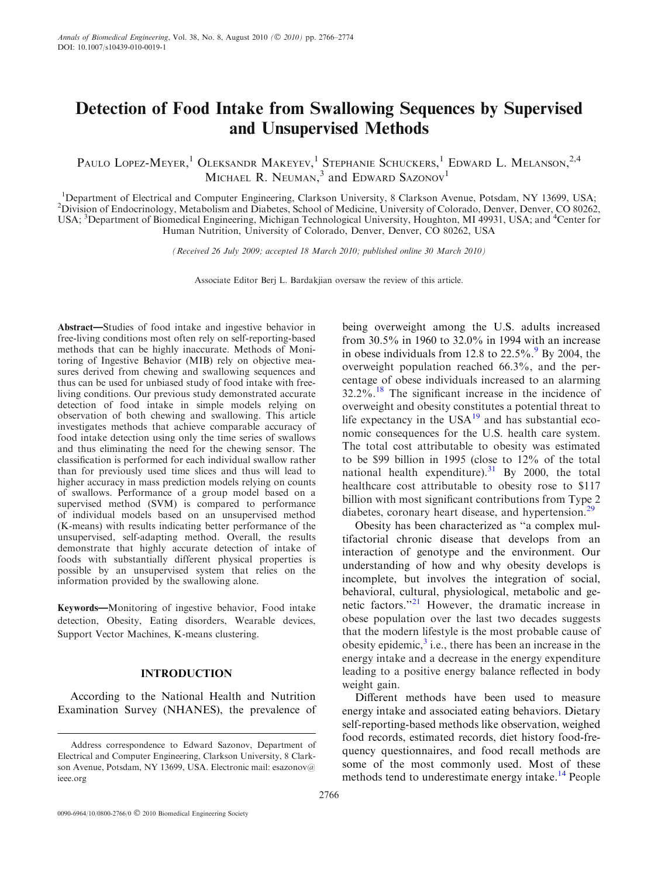# Detection of Food Intake from Swallowing Sequences by Supervised and Unsupervised Methods

PAULO LOPEZ-MEYER,<sup>1</sup> OLEKSANDR MAKEYEV,<sup>1</sup> STEPHANIE SCHUCKERS,<sup>1</sup> EDWARD L. MELANSON,<sup>2,4</sup> MICHAEL R. NEUMAN,<sup>3</sup> and EDWARD SAZONOV<sup>1</sup>

<sup>1</sup>Department of Electrical and Computer Engineering, Clarkson University, 8 Clarkson Avenue, Potsdam, NY 13699, USA;<br><sup>2</sup>Division of Endocripology, Metabolism and Diabetes, School of Medicine, University of Colorado, Depye <sup>2</sup>Division of Endocrinology, Metabolism and Diabetes, School of Medicine, University of Colorado, Denver, Denver, CO 80262, USA; <sup>3</sup>Department of Biomedical Engineering, Michigan Technological University, Houghton, MI 49931, USA; and <sup>4</sup>Center for Human Nutrition, University of Colorado, Denver, Denver, CO 80262, USA

(Received 26 July 2009; accepted 18 March 2010; published online 30 March 2010)

Associate Editor Berj L. Bardakjian oversaw the review of this article.

Abstract—Studies of food intake and ingestive behavior in free-living conditions most often rely on self-reporting-based methods that can be highly inaccurate. Methods of Monitoring of Ingestive Behavior (MIB) rely on objective measures derived from chewing and swallowing sequences and thus can be used for unbiased study of food intake with freeliving conditions. Our previous study demonstrated accurate detection of food intake in simple models relying on observation of both chewing and swallowing. This article investigates methods that achieve comparable accuracy of food intake detection using only the time series of swallows and thus eliminating the need for the chewing sensor. The classification is performed for each individual swallow rather than for previously used time slices and thus will lead to higher accuracy in mass prediction models relying on counts of swallows. Performance of a group model based on a supervised method (SVM) is compared to performance of individual models based on an unsupervised method (K-means) with results indicating better performance of the unsupervised, self-adapting method. Overall, the results demonstrate that highly accurate detection of intake of foods with substantially different physical properties is possible by an unsupervised system that relies on the information provided by the swallowing alone.

Keywords—Monitoring of ingestive behavior, Food intake detection, Obesity, Eating disorders, Wearable devices, Support Vector Machines, K-means clustering.

# INTRODUCTION

According to the National Health and Nutrition Examination Survey (NHANES), the prevalence of being overweight among the U.S. adults increased from 30.5% in 1960 to 32.0% in 1994 with an increase in obese individuals from 12.8 to  $22.5\%$ . By 2004, the overweight population reached 66.3%, and the percentage of obese individuals increased to an alarming  $32.2\%$ .<sup>[18](#page-7-0)</sup> The significant increase in the incidence of overweight and obesity constitutes a potential threat to life expectancy in the  $USA^{19}$  $USA^{19}$  $USA^{19}$  and has substantial economic consequences for the U.S. health care system. The total cost attributable to obesity was estimated to be \$99 billion in 1995 (close to 12% of the total national health expenditure). $31$  By 2000, the total healthcare cost attributable to obesity rose to \$117 billion with most significant contributions from Type 2 diabetes, coronary heart disease, and hypertension.<sup>[29](#page-8-0)</sup>

Obesity has been characterized as ''a complex multifactorial chronic disease that develops from an interaction of genotype and the environment. Our understanding of how and why obesity develops is incomplete, but involves the integration of social, behavioral, cultural, physiological, metabolic and ge-netic factors."<sup>[21](#page-7-0)</sup> However, the dramatic increase in obese population over the last two decades suggests that the modern lifestyle is the most probable cause of obesity epidemic, $3$  i.e., there has been an increase in the energy intake and a decrease in the energy expenditure leading to a positive energy balance reflected in body weight gain.

Different methods have been used to measure energy intake and associated eating behaviors. Dietary self-reporting-based methods like observation, weighed food records, estimated records, diet history food-frequency questionnaires, and food recall methods are some of the most commonly used. Most of these methods tend to underestimate energy intake.<sup>[14](#page-7-0)</sup> People

Address correspondence to Edward Sazonov, Department of Electrical and Computer Engineering, Clarkson University, 8 Clarkson Avenue, Potsdam, NY 13699, USA. Electronic mail: esazonov@ ieee.org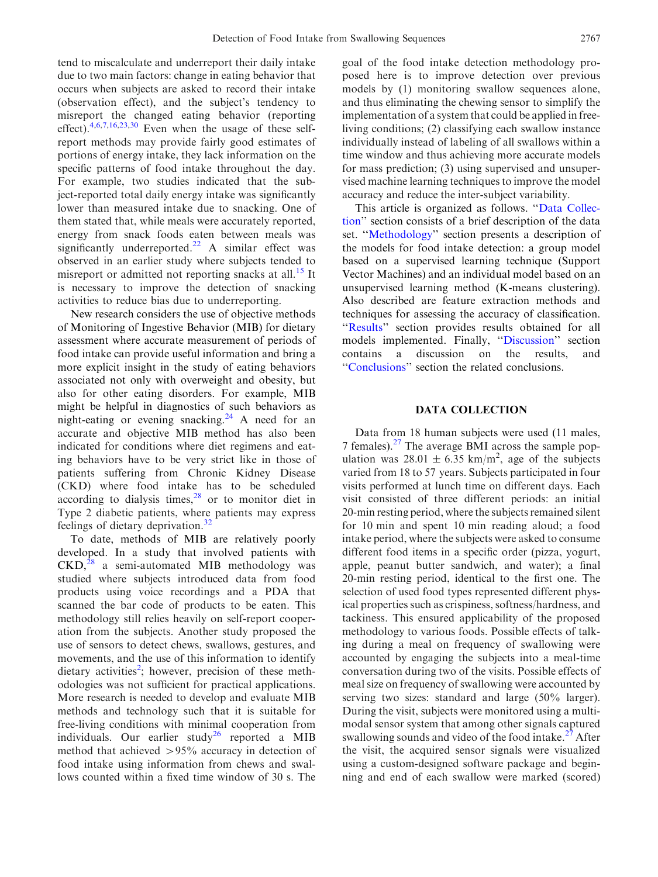tend to miscalculate and underreport their daily intake due to two main factors: change in eating behavior that occurs when subjects are asked to record their intake (observation effect), and the subject's tendency to misreport the changed eating behavior (reporting effect). $4,6,7,16,23,30$  $4,6,7,16,23,30$  Even when the usage of these selfreport methods may provide fairly good estimates of portions of energy intake, they lack information on the specific patterns of food intake throughout the day. For example, two studies indicated that the subject-reported total daily energy intake was significantly lower than measured intake due to snacking. One of them stated that, while meals were accurately reported, energy from snack foods eaten between meals was significantly underreported.<sup>[22](#page-7-0)</sup> A similar effect was observed in an earlier study where subjects tended to misreport or admitted not reporting snacks at all.<sup>[15](#page-7-0)</sup> It is necessary to improve the detection of snacking activities to reduce bias due to underreporting.

New research considers the use of objective methods of Monitoring of Ingestive Behavior (MIB) for dietary assessment where accurate measurement of periods of food intake can provide useful information and bring a more explicit insight in the study of eating behaviors associated not only with overweight and obesity, but also for other eating disorders. For example, MIB might be helpful in diagnostics of such behaviors as night-eating or evening snacking.<sup>[24](#page-7-0)</sup> A need for an accurate and objective MIB method has also been indicated for conditions where diet regimens and eating behaviors have to be very strict like in those of patients suffering from Chronic Kidney Disease (CKD) where food intake has to be scheduled according to dialysis times, $28$  or to monitor diet in Type 2 diabetic patients, where patients may express feelings of dietary deprivation.<sup>[32](#page-8-0)</sup>

To date, methods of MIB are relatively poorly developed. In a study that involved patients with  $CKD<sub>1</sub><sup>28</sup>$  $CKD<sub>1</sub><sup>28</sup>$  $CKD<sub>1</sub><sup>28</sup>$  a semi-automated MIB methodology was studied where subjects introduced data from food products using voice recordings and a PDA that scanned the bar code of products to be eaten. This methodology still relies heavily on self-report cooperation from the subjects. Another study proposed the use of sensors to detect chews, swallows, gestures, and movements, and the use of this information to identify dietary activities<sup>[2](#page-7-0)</sup>; however, precision of these methodologies was not sufficient for practical applications. More research is needed to develop and evaluate MIB methods and technology such that it is suitable for free-living conditions with minimal cooperation from individuals. Our earlier study<sup>[26](#page-7-0)</sup> reported a MIB method that achieved >95% accuracy in detection of food intake using information from chews and swallows counted within a fixed time window of 30 s. The

goal of the food intake detection methodology proposed here is to improve detection over previous models by (1) monitoring swallow sequences alone, and thus eliminating the chewing sensor to simplify the implementation of a system that could be applied in freeliving conditions; (2) classifying each swallow instance individually instead of labeling of all swallows within a time window and thus achieving more accurate models for mass prediction; (3) using supervised and unsupervised machine learning techniques to improve the model accuracy and reduce the inter-subject variability.

This article is organized as follows. "Data Collection'' section consists of a brief description of the data set. ''[Methodology'](#page-2-0)' section presents a description of the models for food intake detection: a group model based on a supervised learning technique (Support Vector Machines) and an individual model based on an unsupervised learning method (K-means clustering). Also described are feature extraction methods and techniques for assessing the accuracy of classification. "Results" section provides results obtained for all models implemented. Finally, '['Discussion'](#page-5-0)' section contains a discussion on the results, and '['Conclusions'](#page-6-0)' section the related conclusions.

# DATA COLLECTION

Data from 18 human subjects were used (11 males, 7 females). $27$  The average BMI across the sample population was  $28.01 \pm 6.35$  km/m<sup>2</sup>, age of the subjects varied from 18 to 57 years. Subjects participated in four visits performed at lunch time on different days. Each visit consisted of three different periods: an initial 20-min resting period, where the subjects remained silent for 10 min and spent 10 min reading aloud; a food intake period, where the subjects were asked to consume different food items in a specific order (pizza, yogurt, apple, peanut butter sandwich, and water); a final 20-min resting period, identical to the first one. The selection of used food types represented different physical properties such as crispiness, softness/hardness, and tackiness. This ensured applicability of the proposed methodology to various foods. Possible effects of talking during a meal on frequency of swallowing were accounted by engaging the subjects into a meal-time conversation during two of the visits. Possible effects of meal size on frequency of swallowing were accounted by serving two sizes: standard and large (50% larger). During the visit, subjects were monitored using a multimodal sensor system that among other signals captured swallowing sounds and video of the food intake.<sup>[27](#page-7-0)</sup> After the visit, the acquired sensor signals were visualized using a custom-designed software package and beginning and end of each swallow were marked (scored)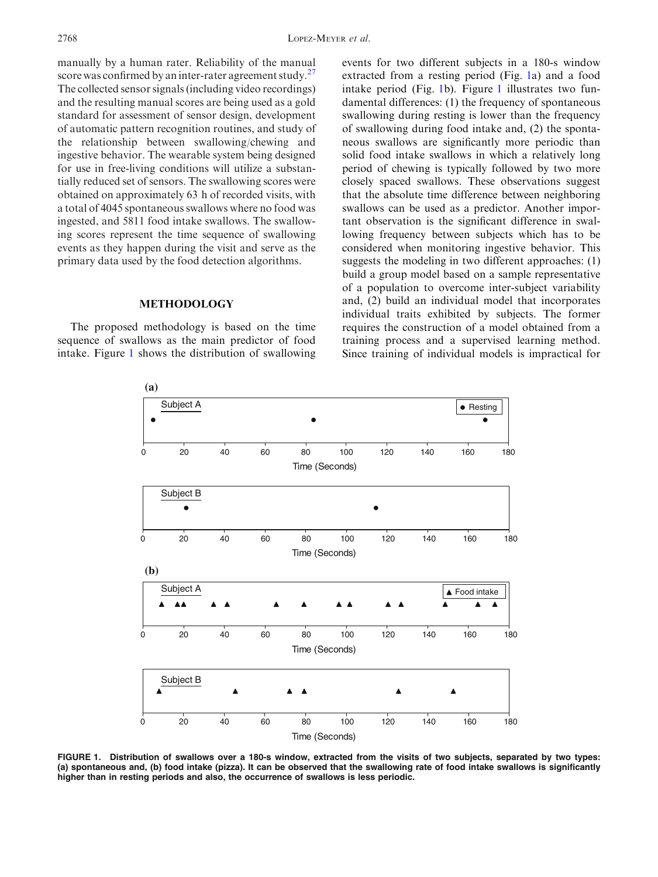<span id="page-2-0"></span>manually by a human rater. Reliability of the manual score was confirmed by an inter-rater agreement study.<sup>[27](#page-7-0)</sup> The collected sensor signals (including video recordings) and the resulting manual scores are being used as a gold standard for assessment of sensor design, development of automatic pattern recognition routines, and study of the relationship between swallowing/chewing and ingestive behavior. The wearable system being designed for use in free-living conditions will utilize a substantially reduced set of sensors. The swallowing scores were obtained on approximately 63 h of recorded visits, with a total of 4045 spontaneous swallows where no food was ingested, and 5811 food intake swallows. The swallowing scores represent the time sequence of swallowing events as they happen during the visit and serve as the primary data used by the food detection algorithms.

# **METHODOLOGY**

The proposed methodology is based on the time sequence of swallows as the main predictor of food intake. Figure 1 shows the distribution of swallowing events for two different subjects in a 180-s window extracted from a resting period (Fig. 1a) and a food intake period (Fig. 1b). Figure 1 illustrates two fundamental differences: (1) the frequency of spontaneous swallowing during resting is lower than the frequency of swallowing during food intake and, (2) the spontaneous swallows are significantly more periodic than solid food intake swallows in which a relatively long period of chewing is typically followed by two more closely spaced swallows. These observations suggest that the absolute time difference between neighboring swallows can be used as a predictor. Another important observation is the significant difference in swallowing frequency between subjects which has to be considered when monitoring ingestive behavior. This suggests the modeling in two different approaches: (1) build a group model based on a sample representative of a population to overcome inter-subject variability and, (2) build an individual model that incorporates individual traits exhibited by subjects. The former requires the construction of a model obtained from a training process and a supervised learning method. Since training of individual models is impractical for



FIGURE 1. Distribution of swallows over a 180-s window, extracted from the visits of two subjects, separated by two types: (a) spontaneous and, (b) food intake (pizza). It can be observed that the swallowing rate of food intake swallows is significantly higher than in resting periods and also, the occurrence of swallows is less periodic.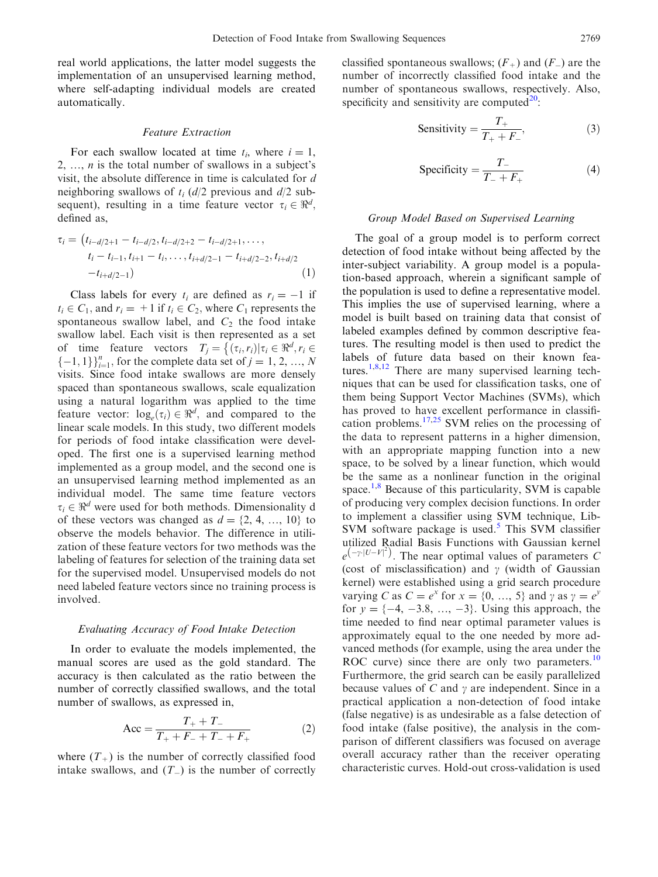<span id="page-3-0"></span>real world applications, the latter model suggests the implementation of an unsupervised learning method, where self-adapting individual models are created automatically.

## Feature Extraction

For each swallow located at time  $t_i$ , where  $i = 1$ , 2, ...,  $n$  is the total number of swallows in a subject's visit, the absolute difference in time is calculated for d neighboring swallows of  $t_i$  (d/2 previous and d/2 subsequent), resulting in a time feature vector  $\tau_i \in \mathbb{R}^d$ , defined as,

$$
\tau_i = (t_{i-d/2+1} - t_{i-d/2}, t_{i-d/2+2} - t_{i-d/2+1}, \dots, \nt_i - t_{i-1}, t_{i+1} - t_i, \dots, t_{i+d/2-1} - t_{i+d/2-2}, t_{i+d/2} \n-t_{i+d/2-1})
$$
\n(1)

Class labels for every  $t_i$  are defined as  $r_i = -1$  if  $t_i \in C_1$ , and  $r_i = +1$  if  $t_i \in C_2$ , where  $C_1$  represents the spontaneous swallow label, and  $C_2$  the food intake swallow label. Each visit is then represented as a set of time feature vectors  $T_i = \{(\tau_i, r_i) | \tau_i \in \Re^d, r_i \in$  $\{-1, 1\}_{i=1}^{n}$ , for the complete data set of  $j = 1, 2, ..., N$ visits. Since food intake swallows are more densely spaced than spontaneous swallows, scale equalization using a natural logarithm was applied to the time feature vector:  $log_e(\tau_i) \in \Re^d$ , and compared to the linear scale models. In this study, two different models for periods of food intake classification were developed. The first one is a supervised learning method implemented as a group model, and the second one is an unsupervised learning method implemented as an individual model. The same time feature vectors  $\tau_i \in \mathbb{R}^d$  were used for both methods. Dimensionality d of these vectors was changed as  $d = \{2, 4, ..., 10\}$  to observe the models behavior. The difference in utilization of these feature vectors for two methods was the labeling of features for selection of the training data set for the supervised model. Unsupervised models do not need labeled feature vectors since no training process is involved.

#### Evaluating Accuracy of Food Intake Detection

In order to evaluate the models implemented, the manual scores are used as the gold standard. The accuracy is then calculated as the ratio between the number of correctly classified swallows, and the total number of swallows, as expressed in,

$$
Acc = \frac{T_{+} + T_{-}}{T_{+} + F_{-} + T_{-} + F_{+}} \tag{2}
$$

where  $(T_{+})$  is the number of correctly classified food intake swallows, and  $(T_{-})$  is the number of correctly

classified spontaneous swallows;  $(F_{+})$  and  $(F_{-})$  are the number of incorrectly classified food intake and the number of spontaneous swallows, respectively. Also, specificity and sensitivity are computed $20$ :

Sensitivity = 
$$
\frac{T_+}{T_+ + F_-}
$$
, (3)

$$
Specificity = \frac{T_{-}}{T_{-} + F_{+}} \tag{4}
$$

## Group Model Based on Supervised Learning

The goal of a group model is to perform correct detection of food intake without being affected by the inter-subject variability. A group model is a population-based approach, wherein a significant sample of the population is used to define a representative model. This implies the use of supervised learning, where a model is built based on training data that consist of labeled examples defined by common descriptive features. The resulting model is then used to predict the labels of future data based on their known fea-tures.<sup>[1,8,12](#page-7-0)</sup> There are many supervised learning techniques that can be used for classification tasks, one of them being Support Vector Machines (SVMs), which has proved to have excellent performance in classification problems.<sup>17,25</sup> SVM relies on the processing of the data to represent patterns in a higher dimension, with an appropriate mapping function into a new space, to be solved by a linear function, which would be the same as a nonlinear function in the original space.<sup>[1,8](#page-7-0)</sup> Because of this particularity, SVM is capable of producing very complex decision functions. In order to implement a classifier using SVM technique, Lib-SVM software package is used.<sup>5</sup> This SVM classifier utilized Radial Basis Functions with Gaussian kernel  $e^{(-\gamma \cdot |U-V|^2)}$ . The near optimal values of parameters C (cost of misclassification) and  $\gamma$  (width of Gaussian kernel) were established using a grid search procedure varying C as  $C = e^x$  for  $x = \{0, ..., 5\}$  and  $\gamma$  as  $\gamma = e^y$ for  $y = \{-4, -3.8, ..., -3\}$ . Using this approach, the time needed to find near optimal parameter values is approximately equal to the one needed by more advanced methods (for example, using the area under the ROC curve) since there are only two parameters. $^{10}$  $^{10}$  $^{10}$ Furthermore, the grid search can be easily parallelized because values of C and  $\gamma$  are independent. Since in a practical application a non-detection of food intake (false negative) is as undesirable as a false detection of food intake (false positive), the analysis in the comparison of different classifiers was focused on average overall accuracy rather than the receiver operating characteristic curves. Hold-out cross-validation is used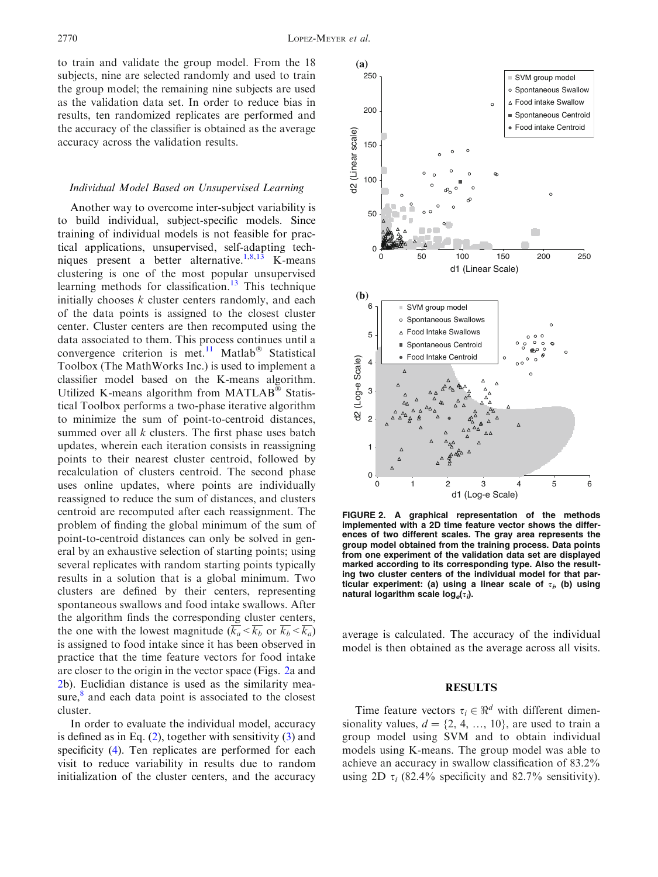<span id="page-4-0"></span>to train and validate the group model. From the 18 subjects, nine are selected randomly and used to train the group model; the remaining nine subjects are used as the validation data set. In order to reduce bias in results, ten randomized replicates are performed and the accuracy of the classifier is obtained as the average accuracy across the validation results.

#### Individual Model Based on Unsupervised Learning

Another way to overcome inter-subject variability is to build individual, subject-specific models. Since training of individual models is not feasible for practical applications, unsupervised, self-adapting tech-niques present a better alternative.<sup>[1,8,13](#page-7-0)</sup> K-means clustering is one of the most popular unsupervised learning methods for classification.<sup>[13](#page-7-0)</sup> This technique initially chooses  $k$  cluster centers randomly, and each of the data points is assigned to the closest cluster center. Cluster centers are then recomputed using the data associated to them. This process continues until a convergence criterion is met.<sup>[11](#page-7-0)</sup> Matlab<sup>®</sup> Statistical Toolbox (The MathWorks Inc.) is used to implement a classifier model based on the K-means algorithm. Utilized K-means algorithm from  $MATLAB^{\circledast}$  Statistical Toolbox performs a two-phase iterative algorithm to minimize the sum of point-to-centroid distances, summed over all  $k$  clusters. The first phase uses batch updates, wherein each iteration consists in reassigning points to their nearest cluster centroid, followed by recalculation of clusters centroid. The second phase uses online updates, where points are individually reassigned to reduce the sum of distances, and clusters centroid are recomputed after each reassignment. The problem of finding the global minimum of the sum of point-to-centroid distances can only be solved in general by an exhaustive selection of starting points; using several replicates with random starting points typically results in a solution that is a global minimum. Two clusters are defined by their centers, representing spontaneous swallows and food intake swallows. After the algorithm finds the corresponding cluster centers, the one with the lowest magnitude  $(\overline{k_a} < \overline{k_b} \text{ or } \overline{k_b} < \overline{k_a})$ is assigned to food intake since it has been observed in practice that the time feature vectors for food intake are closer to the origin in the vector space (Figs. 2a and 2b). Euclidian distance is used as the similarity measure, $\delta$  and each data point is associated to the closest cluster.

In order to evaluate the individual model, accuracy is defined as in Eq. [\(2](#page-3-0)), together with sensitivity [\(3](#page-3-0)) and specificity [\(4](#page-3-0)). Ten replicates are performed for each visit to reduce variability in results due to random initialization of the cluster centers, and the accuracy



FIGURE 2. A graphical representation of the methods implemented with a 2D time feature vector shows the differences of two different scales. The gray area represents the group model obtained from the training process. Data points from one experiment of the validation data set are displayed marked according to its corresponding type. Also the resulting two cluster centers of the individual model for that particular experiment: (a) using a linear scale of  $\tau_i$ , (b) using natural logarithm scale  $log_e(\tau_i)$ .

average is calculated. The accuracy of the individual model is then obtained as the average across all visits.

#### RESULTS

Time feature vectors  $\tau_i \in \mathbb{R}^d$  with different dimensionality values,  $d = \{2, 4, ..., 10\}$ , are used to train a group model using SVM and to obtain individual models using K-means. The group model was able to achieve an accuracy in swallow classification of 83.2% using 2D  $\tau_i$  (82.4% specificity and 82.7% sensitivity).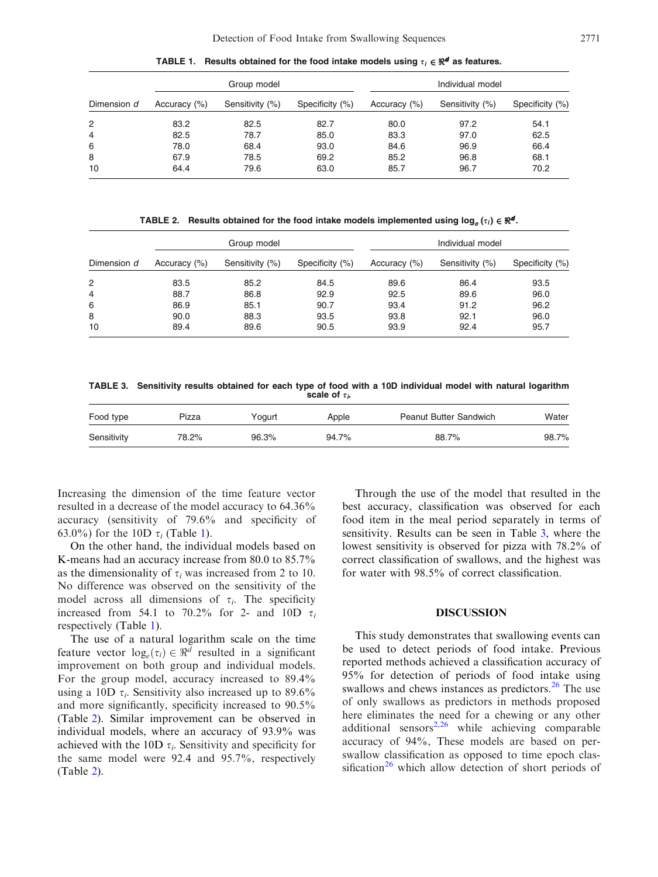<span id="page-5-0"></span>Dimension d Group model and the state of the Individual model Accuracy (%) Sensitivity (%) Specificity (%) Accuracy (%) Sensitivity (%) Specificity (%) 2 83.2 82.5 82.7 80.0 97.2 54.1 4 82.5 78.7 85.0 83.3 97.0 62.5 6 78.0 68.4 93.0 84.6 96.9 66.4 8 67.9 78.5 69.2 85.2 96.8 68.1

10 64.4 79.6 63.0 85.7 96.7 70.2

TABLE 1. Results obtained for the food intake models using  $\tau_i \in \mathbb{R}^d$  as features.

TABLE 2. Results obtained for the food intake models implemented using  $log_e(\tau_i) \in \Re^d$ .

|                | Group model  |                 |                 | Individual model |                 |                 |
|----------------|--------------|-----------------|-----------------|------------------|-----------------|-----------------|
| Dimension d    | Accuracy (%) | Sensitivity (%) | Specificity (%) | Accuracy (%)     | Sensitivity (%) | Specificity (%) |
| 2              | 83.5         | 85.2            | 84.5            | 89.6             | 86.4            | 93.5            |
| $\overline{4}$ | 88.7         | 86.8            | 92.9            | 92.5             | 89.6            | 96.0            |
| 6              | 86.9         | 85.1            | 90.7            | 93.4             | 91.2            | 96.2            |
| 8              | 90.0         | 88.3            | 93.5            | 93.8             | 92.1            | 96.0            |
| 10             | 89.4         | 89.6            | 90.5            | 93.9             | 92.4            | 95.7            |

TABLE 3. Sensitivity results obtained for each type of food with a 10D individual model with natural logarithm scale of  $\tau_i$ .

| Food type   | Pizza | Yoaurt | Apple | <b>Peanut Butter Sandwich</b> | Water |
|-------------|-------|--------|-------|-------------------------------|-------|
| Sensitivity | 78.2% | 96.3%  | 94.7% | 88.7%                         | 98.7% |

Increasing the dimension of the time feature vector resulted in a decrease of the model accuracy to 64.36% accuracy (sensitivity of 79.6% and specificity of 63.0%) for the 10D  $\tau_i$  (Table 1).

On the other hand, the individual models based on K-means had an accuracy increase from 80.0 to 85.7% as the dimensionality of  $\tau_i$  was increased from 2 to 10. No difference was observed on the sensitivity of the model across all dimensions of  $\tau_i$ . The specificity increased from 54.1 to 70.2% for 2- and 10D  $\tau_i$ respectively (Table 1).

The use of a natural logarithm scale on the time feature vector  $log_e(\tau_i) \in \Re^d$  resulted in a significant improvement on both group and individual models. For the group model, accuracy increased to 89.4% using a 10D  $\tau_i$ . Sensitivity also increased up to 89.6% and more significantly, specificity increased to 90.5% (Table 2). Similar improvement can be observed in individual models, where an accuracy of 93.9% was achieved with the 10D  $\tau_i$ . Sensitivity and specificity for the same model were 92.4 and 95.7%, respectively (Table 2).

Through the use of the model that resulted in the best accuracy, classification was observed for each food item in the meal period separately in terms of sensitivity. Results can be seen in Table 3, where the lowest sensitivity is observed for pizza with 78.2% of correct classification of swallows, and the highest was for water with 98.5% of correct classification.

## DISCUSSION

This study demonstrates that swallowing events can be used to detect periods of food intake. Previous reported methods achieved a classification accuracy of 95% for detection of periods of food intake using swallows and chews instances as predictors.<sup>[26](#page-7-0)</sup> The use of only swallows as predictors in methods proposed here eliminates the need for a chewing or any other additional sensors<sup>[2,26](#page-7-0)</sup> while achieving comparable accuracy of 94%, These models are based on perswallow classification as opposed to time epoch clas-sification<sup>[26](#page-7-0)</sup> which allow detection of short periods of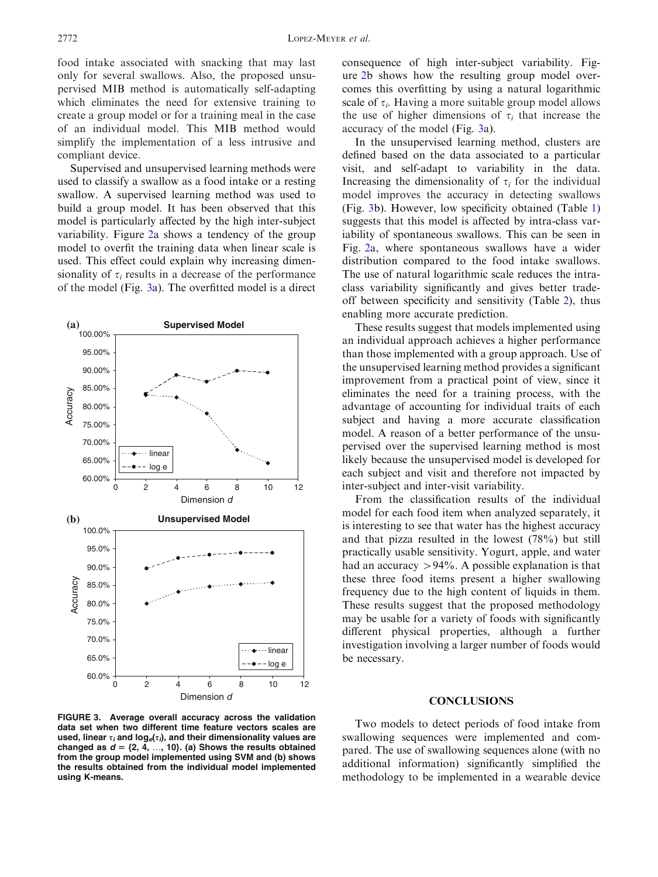<span id="page-6-0"></span>food intake associated with snacking that may last only for several swallows. Also, the proposed unsupervised MIB method is automatically self-adapting which eliminates the need for extensive training to create a group model or for a training meal in the case of an individual model. This MIB method would simplify the implementation of a less intrusive and compliant device.

Supervised and unsupervised learning methods were used to classify a swallow as a food intake or a resting swallow. A supervised learning method was used to build a group model. It has been observed that this model is particularly affected by the high inter-subject variability. Figure [2a](#page-4-0) shows a tendency of the group model to overfit the training data when linear scale is used. This effect could explain why increasing dimensionality of  $\tau_i$  results in a decrease of the performance of the model (Fig. 3a). The overfitted model is a direct



FIGURE 3. Average overall accuracy across the validation data set when two different time feature vectors scales are used, linear  $\tau_i$  and log<sub>e</sub>( $\tau_i$ ), and their dimensionality values are changed as  $d = \{2, 4, ..., 10\}$ . (a) Shows the results obtained from the group model implemented using SVM and (b) shows the results obtained from the individual model implemented using K-means.

consequence of high inter-subject variability. Figure [2b](#page-4-0) shows how the resulting group model overcomes this overfitting by using a natural logarithmic scale of  $\tau_i$ . Having a more suitable group model allows the use of higher dimensions of  $\tau_i$  that increase the accuracy of the model (Fig. 3a).

In the unsupervised learning method, clusters are defined based on the data associated to a particular visit, and self-adapt to variability in the data. Increasing the dimensionality of  $\tau_i$  for the individual model improves the accuracy in detecting swallows (Fig. 3b). However, low specificity obtained (Table [1\)](#page-5-0) suggests that this model is affected by intra-class variability of spontaneous swallows. This can be seen in Fig. [2](#page-4-0)a, where spontaneous swallows have a wider distribution compared to the food intake swallows. The use of natural logarithmic scale reduces the intraclass variability significantly and gives better tradeoff between specificity and sensitivity (Table [2](#page-5-0)), thus enabling more accurate prediction.

These results suggest that models implemented using an individual approach achieves a higher performance than those implemented with a group approach. Use of the unsupervised learning method provides a significant improvement from a practical point of view, since it eliminates the need for a training process, with the advantage of accounting for individual traits of each subject and having a more accurate classification model. A reason of a better performance of the unsupervised over the supervised learning method is most likely because the unsupervised model is developed for each subject and visit and therefore not impacted by inter-subject and inter-visit variability.

From the classification results of the individual model for each food item when analyzed separately, it is interesting to see that water has the highest accuracy and that pizza resulted in the lowest (78%) but still practically usable sensitivity. Yogurt, apple, and water had an accuracy  $>94\%$ . A possible explanation is that these three food items present a higher swallowing frequency due to the high content of liquids in them. These results suggest that the proposed methodology may be usable for a variety of foods with significantly different physical properties, although a further investigation involving a larger number of foods would be necessary.

# **CONCLUSIONS**

Two models to detect periods of food intake from swallowing sequences were implemented and compared. The use of swallowing sequences alone (with no additional information) significantly simplified the methodology to be implemented in a wearable device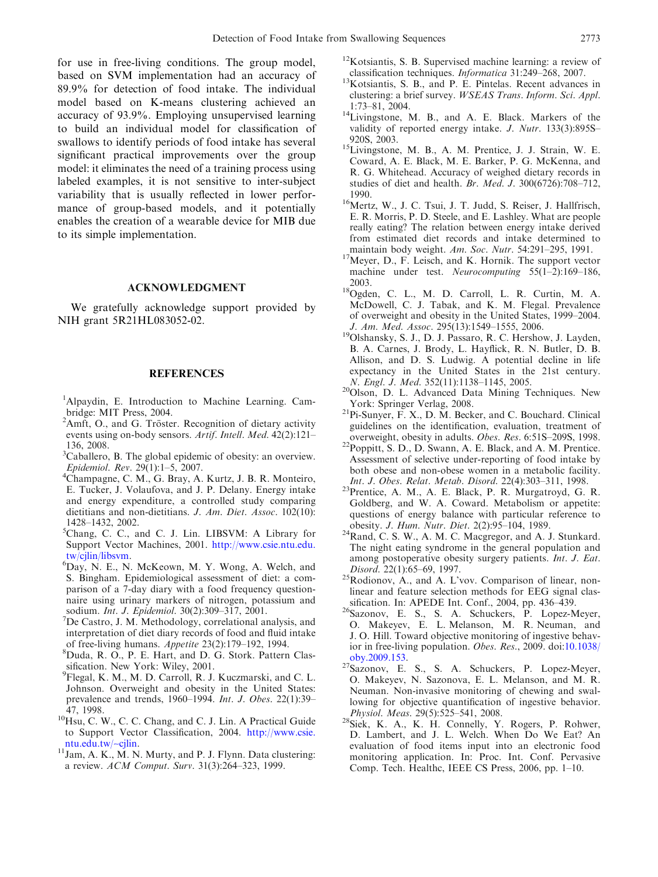<span id="page-7-0"></span>for use in free-living conditions. The group model, based on SVM implementation had an accuracy of 89.9% for detection of food intake. The individual model based on K-means clustering achieved an accuracy of 93.9%. Employing unsupervised learning to build an individual model for classification of swallows to identify periods of food intake has several significant practical improvements over the group model: it eliminates the need of a training process using labeled examples, it is not sensitive to inter-subject variability that is usually reflected in lower performance of group-based models, and it potentially enables the creation of a wearable device for MIB due to its simple implementation.

## ACKNOWLEDGMENT

We gratefully acknowledge support provided by NIH grant 5R21HL083052-02.

## **REFERENCES**

- <sup>1</sup>Alpaydin, E. Introduction to Machine Learning. Cambridge: MIT Press, 2004.
- <sup>2</sup>Amft, O., and G. Tröster. Recognition of dietary activity events using on-body sensors. Artif. Intell. Med. 42(2):121– 136, 2008.
- <sup>3</sup>Caballero, B. The global epidemic of obesity: an overview. Epidemiol. Rev. 29(1):1–5, 2007. <sup>4</sup>
- Champagne, C. M., G. Bray, A. Kurtz, J. B. R. Monteiro, E. Tucker, J. Volaufova, and J. P. Delany. Energy intake and energy expenditure, a controlled study comparing dietitians and non-dietitians. J. Am. Diet. Assoc. 102(10): 1428–1432, 2002.
- 5 Chang, C. C., and C. J. Lin. LIBSVM: A Library for Support Vector Machines, 2001. [http://www.csie.ntu.edu.](http://www.csie.ntu.edu.tw/cjlin/libsvm) tw/cilin/libsvm.
- <sup>6</sup>Day, N. E., N. McKeown, M. Y. Wong, A. Welch, and S. Bingham. Epidemiological assessment of diet: a comparison of a 7-day diary with a food frequency questionnaire using urinary markers of nitrogen, potassium and sodium. *Int. J. Epidemiol.* 30(2):309-317, 2001.
- $<sup>7</sup>$ De Castro, J. M. Methodology, correlational analysis, and</sup> interpretation of diet diary records of food and fluid intake of free-living humans. Appetite 23(2):179-192, 1994.
- Duda, R. O., P. E. Hart, and D. G. Stork. Pattern Classification. New York: Wiley, 2001.
- 9 Flegal, K. M., M. D. Carroll, R. J. Kuczmarski, and C. L. Johnson. Overweight and obesity in the United States: prevalence and trends, 1960–1994. Int. J. Obes. 22(1):39–
- 47, 1998.<br> $10$ Hsu, C. W., C. C. Chang, and C. J. Lin. A Practical Guide to Support Vector Classification, 2004. [http://www.csie.](http://www.csie.ntu.edu.tw/~cjlin)
- [ntu.edu.tw/](http://www.csie.ntu.edu.tw/~cjlin)~cjlin.<br><sup>11</sup>Jam, A. K., M. N. Murty, and P. J. Flynn. Data clustering: a review. ACM Comput. Surv. 31(3):264–323, 1999.
- <sup>12</sup>Kotsiantis, S. B. Supervised machine learning: a review of classification techniques. *Informatica* 31:249–268, 2007.
- $13$ Kotsiantis, S. B., and P. E. Pintelas. Recent advances in clustering: a brief survey. WSEAS Trans. Inform. Sci. Appl.
- 1:73–81, 2004. 14Livingstone, M. B., and A. E. Black. Markers of the validity of reported energy intake. J. Nutr. 133(3):895S– 920S, 2003. 15Livingstone, M. B., A. M. Prentice, J. J. Strain, W. E.
- Coward, A. E. Black, M. E. Barker, P. G. McKenna, and R. G. Whitehead. Accuracy of weighed dietary records in studies of diet and health. *Br. Med. J.* 300(6726):708-712, 1990.
- <sup>16</sup>Mertz, W., J. C. Tsui, J. T. Judd, S. Reiser, J. Hallfrisch, E. R. Morris, P. D. Steele, and E. Lashley. What are people really eating? The relation between energy intake derived from estimated diet records and intake determined to
- maintain body weight. Am. Soc. Nutr. 54:291–295, 1991.  $17$ Meyer, D., F. Leisch, and K. Hornik. The support vector machine under test. Neurocomputing 55(1–2):169–186,
- 2003.<br><sup>18</sup>Ogden, C. L., M. D. Carroll, L. R. Curtin, M. A. McDowell, C. J. Tabak, and K. M. Flegal. Prevalence of overweight and obesity in the United States, 1999–2004.
- J. Am. Med. Assoc. 295(13):1549-1555, 2006.<br><sup>19</sup>Olshansky, S. J., D. J. Passaro, R. C. Hershow, J. Layden, B. A. Carnes, J. Brody, L. Hayflick, R. N. Butler, D. B. Allison, and D. S. Ludwig. A potential decline in life expectancy in the United States in the 21st century.
- N. Engl. J. Med. 352(11):1138–1145, 2005.<br><sup>20</sup>Olson, D. L. Advanced Data Mining Techniques. New
- York: Springer Verlag, 2008.<br><sup>21</sup>Pi-Sunyer, F. X., D. M. Becker, and C. Bouchard. Clinical guidelines on the identification, evaluation, treatment of
- overweight, obesity in adults. *Obes. Res.* 6:51S–209S, 1998.<br><sup>22</sup>Poppitt, S. D., D. Swann, A. E. Black, and A. M. Prentice. Assessment of selective under-reporting of food intake by both obese and non-obese women in a metabolic facility.
- *Int. J. Obes. Relat. Metab. Disord.* 22(4):303–311, 1998.<br><sup>23</sup>Prentice, A. M., A. E. Black, P. R. Murgatroyd, G. R. Goldberg, and W. A. Coward. Metabolism or appetite: questions of energy balance with particular reference to
- obesity. *J. Hum. Nutr. Diet.* 2(2):95–104, 1989. <sup>24</sup>Rand, C. S. W., A. M. C. Macgregor, and A. J. Stunkard. The night eating syndrome in the general population and among postoperative obesity surgery patients. Int. J. Eat.
- Disord. 22(1):65–69, 1997.<br><sup>25</sup>Rodionov, A., and A. L'vov. Comparison of linear, nonlinear and feature selection methods for EEG signal classification. In: APEDE Int. Conf., 2004, pp. 436-439.
- sification. In: APEDE Int. Conf., 2004, pp. 436–439.<br><sup>26</sup>Sazonov, E. S., S. A. Schuckers, P. Lopez-Meyer, O. Makeyev, E. L. Melanson, M. R. Neuman, and J. O. Hill. Toward objective monitoring of ingestive behavior in free-living population. Obes. Res., 2009. doi:[10.1038/](http://dx.doi.org/10.1038/oby.2009.153)
- [oby.2009.153](http://dx.doi.org/10.1038/oby.2009.153). 27Sazonov, E. S., S. A. Schuckers, P. Lopez-Meyer, O. Makeyev, N. Sazonova, E. L. Melanson, and M. R. Neuman. Non-invasive monitoring of chewing and swallowing for objective quantification of ingestive behavior. Physiol. Meas. 29(5):525–541, 2008.<br><sup>28</sup>Siek, K. A., K. H. Connelly, Y. Rogers, P. Rohwer,
- D. Lambert, and J. L. Welch. When Do We Eat? An evaluation of food items input into an electronic food monitoring application. In: Proc. Int. Conf. Pervasive Comp. Tech. Healthc, IEEE CS Press, 2006, pp. 1–10.